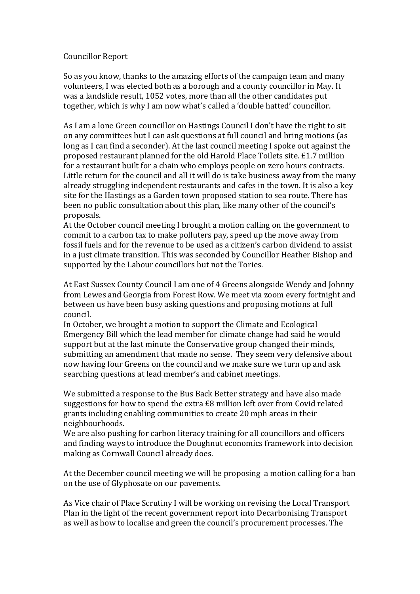## Councillor Report

So as you know, thanks to the amazing efforts of the campaign team and many volunteers, I was elected both as a borough and a county councillor in May. It was a landslide result, 1052 votes, more than all the other candidates put together, which is why I am now what's called a 'double hatted' councillor.

As I am a lone Green councillor on Hastings Council I don't have the right to sit on any committees but I can ask questions at full council and bring motions (as long as I can find a seconder). At the last council meeting I spoke out against the proposed restaurant planned for the old Harold Place Toilets site. £1.7 million for a restaurant built for a chain who employs people on zero hours contracts. Little return for the council and all it will do is take business away from the many already struggling independent restaurants and cafes in the town. It is also a key site for the Hastings as a Garden town proposed station to sea route. There has been no public consultation about this plan, like many other of the council's proposals.

At the October council meeting I brought a motion calling on the government to commit to a carbon tax to make polluters pay, speed up the move away from fossil fuels and for the revenue to be used as a citizen's carbon dividend to assist in a just climate transition. This was seconded by Councillor Heather Bishop and supported by the Labour councillors but not the Tories.

At East Sussex County Council I am one of 4 Greens alongside Wendy and Johnny from Lewes and Georgia from Forest Row. We meet via zoom every fortnight and between us have been busy asking questions and proposing motions at full council. 

In October, we brought a motion to support the Climate and Ecological Emergency Bill which the lead member for climate change had said he would support but at the last minute the Conservative group changed their minds, submitting an amendment that made no sense. They seem very defensive about now having four Greens on the council and we make sure we turn up and ask searching questions at lead member's and cabinet meetings.

We submitted a response to the Bus Back Better strategy and have also made suggestions for how to spend the extra £8 million left over from Covid related grants including enabling communities to create 20 mph areas in their neighbourhoods.

We are also pushing for carbon literacy training for all councillors and officers and finding ways to introduce the Doughnut economics framework into decision making as Cornwall Council already does.

At the December council meeting we will be proposing a motion calling for a ban on the use of Glyphosate on our pavements.

As Vice chair of Place Scrutiny I will be working on revising the Local Transport Plan in the light of the recent government report into Decarbonising Transport as well as how to localise and green the council's procurement processes. The